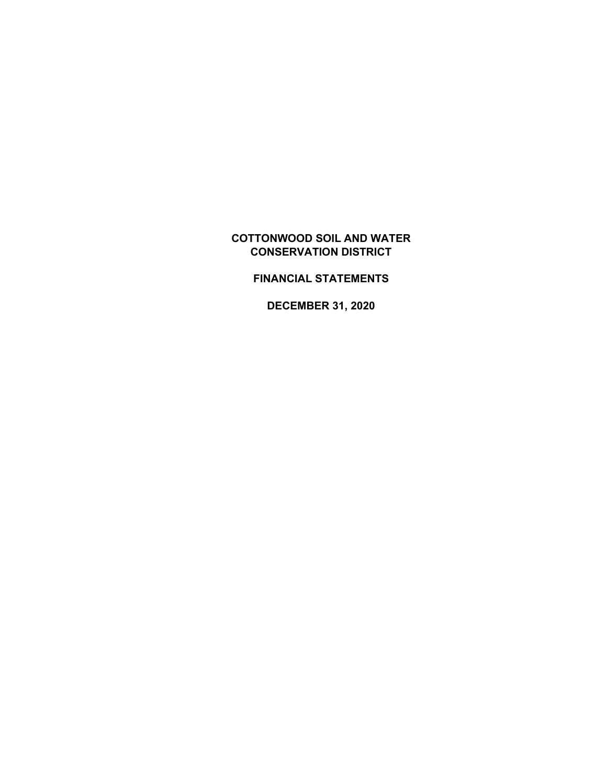# **COTTONWOOD SOIL AND WATER CONSERVATION DISTRICT**

**FINANCIAL STATEMENTS**

**DECEMBER 31, 2020**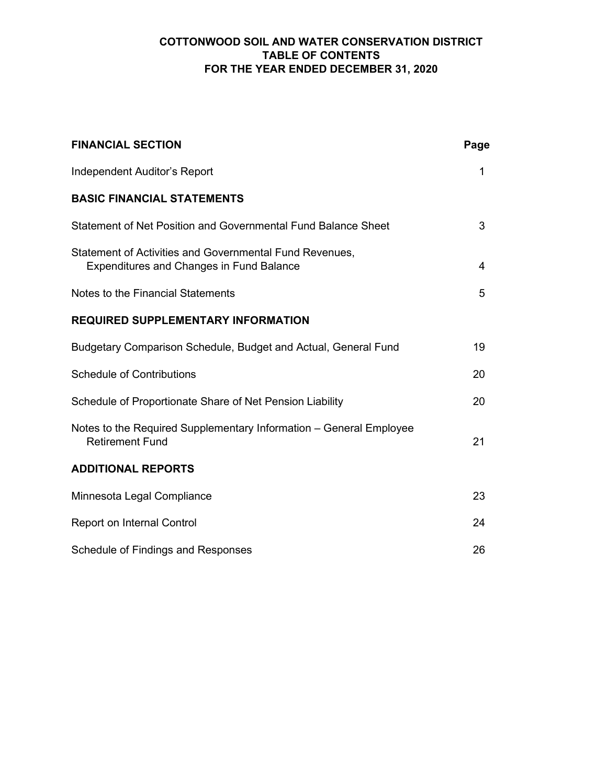# **COTTONWOOD SOIL AND WATER CONSERVATION DISTRICT TABLE OF CONTENTS FOR THE YEAR ENDED DECEMBER 31, 2020**

| <b>FINANCIAL SECTION</b>                                                                                   | Page           |
|------------------------------------------------------------------------------------------------------------|----------------|
| Independent Auditor's Report                                                                               | $\mathbf 1$    |
| <b>BASIC FINANCIAL STATEMENTS</b>                                                                          |                |
| Statement of Net Position and Governmental Fund Balance Sheet                                              | 3              |
| Statement of Activities and Governmental Fund Revenues,<br><b>Expenditures and Changes in Fund Balance</b> | $\overline{4}$ |
| Notes to the Financial Statements                                                                          | 5              |
| <b>REQUIRED SUPPLEMENTARY INFORMATION</b>                                                                  |                |
| Budgetary Comparison Schedule, Budget and Actual, General Fund                                             | 19             |
| <b>Schedule of Contributions</b>                                                                           | 20             |
| Schedule of Proportionate Share of Net Pension Liability                                                   | 20             |
| Notes to the Required Supplementary Information - General Employee<br><b>Retirement Fund</b>               | 21             |
| <b>ADDITIONAL REPORTS</b>                                                                                  |                |
| Minnesota Legal Compliance                                                                                 | 23             |
| <b>Report on Internal Control</b>                                                                          | 24             |
| Schedule of Findings and Responses                                                                         | 26             |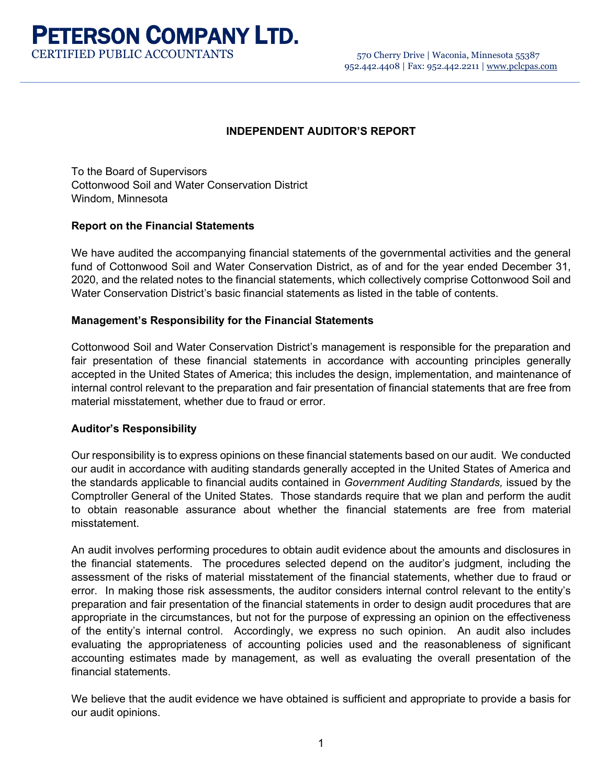**PETERSON COMPANY LTD.**<br>CERTIFIED PUBLIC ACCOUNTANTS 570 Cherry Drive | Waconia, Minnesota 55387 952.442.4408 | Fax: 952.442.2211 [| www.pclcpas.com](http://www.pclcpas.com/)

## **INDEPENDENT AUDITOR'S REPORT**

To the Board of Supervisors Cottonwood Soil and Water Conservation District Windom, Minnesota

### **Report on the Financial Statements**

We have audited the accompanying financial statements of the governmental activities and the general fund of Cottonwood Soil and Water Conservation District, as of and for the year ended December 31, 2020, and the related notes to the financial statements, which collectively comprise Cottonwood Soil and Water Conservation District's basic financial statements as listed in the table of contents.

### **Management's Responsibility for the Financial Statements**

Cottonwood Soil and Water Conservation District's management is responsible for the preparation and fair presentation of these financial statements in accordance with accounting principles generally accepted in the United States of America; this includes the design, implementation, and maintenance of internal control relevant to the preparation and fair presentation of financial statements that are free from material misstatement, whether due to fraud or error.

### **Auditor's Responsibility**

Our responsibility is to express opinions on these financial statements based on our audit. We conducted our audit in accordance with auditing standards generally accepted in the United States of America and the standards applicable to financial audits contained in *Government Auditing Standards,* issued by the Comptroller General of the United States. Those standards require that we plan and perform the audit to obtain reasonable assurance about whether the financial statements are free from material misstatement.

An audit involves performing procedures to obtain audit evidence about the amounts and disclosures in the financial statements. The procedures selected depend on the auditor's judgment, including the assessment of the risks of material misstatement of the financial statements, whether due to fraud or error. In making those risk assessments, the auditor considers internal control relevant to the entity's preparation and fair presentation of the financial statements in order to design audit procedures that are appropriate in the circumstances, but not for the purpose of expressing an opinion on the effectiveness of the entity's internal control. Accordingly, we express no such opinion. An audit also includes evaluating the appropriateness of accounting policies used and the reasonableness of significant accounting estimates made by management, as well as evaluating the overall presentation of the financial statements.

We believe that the audit evidence we have obtained is sufficient and appropriate to provide a basis for our audit opinions.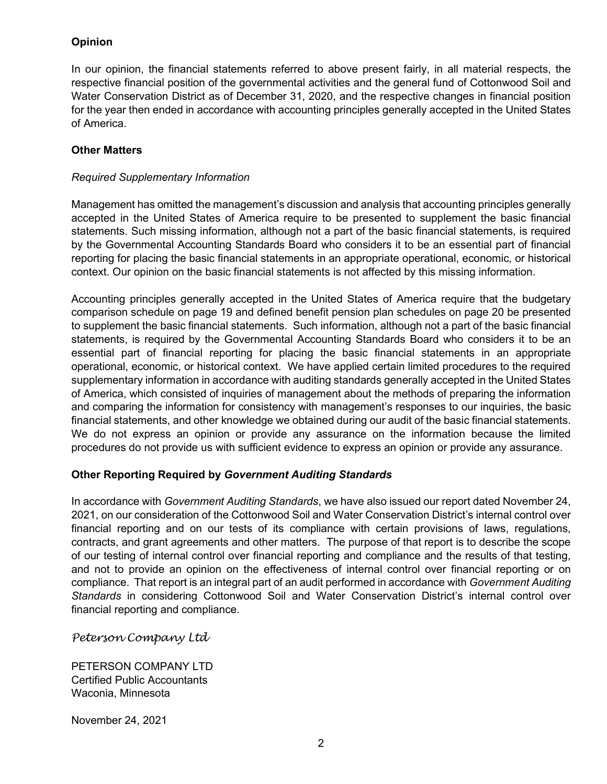# **Opinion**

In our opinion, the financial statements referred to above present fairly, in all material respects, the respective financial position of the governmental activities and the general fund of Cottonwood Soil and Water Conservation District as of December 31, 2020, and the respective changes in financial position for the year then ended in accordance with accounting principles generally accepted in the United States of America.

## **Other Matters**

### *Required Supplementary Information*

Management has omitted the management's discussion and analysis that accounting principles generally accepted in the United States of America require to be presented to supplement the basic financial statements. Such missing information, although not a part of the basic financial statements, is required by the Governmental Accounting Standards Board who considers it to be an essential part of financial reporting for placing the basic financial statements in an appropriate operational, economic, or historical context. Our opinion on the basic financial statements is not affected by this missing information.

Accounting principles generally accepted in the United States of America require that the budgetary comparison schedule on page 19 and defined benefit pension plan schedules on page 20 be presented to supplement the basic financial statements. Such information, although not a part of the basic financial statements, is required by the Governmental Accounting Standards Board who considers it to be an essential part of financial reporting for placing the basic financial statements in an appropriate operational, economic, or historical context. We have applied certain limited procedures to the required supplementary information in accordance with auditing standards generally accepted in the United States of America, which consisted of inquiries of management about the methods of preparing the information and comparing the information for consistency with management's responses to our inquiries, the basic financial statements, and other knowledge we obtained during our audit of the basic financial statements. We do not express an opinion or provide any assurance on the information because the limited procedures do not provide us with sufficient evidence to express an opinion or provide any assurance.

## **Other Reporting Required by** *Government Auditing Standards*

In accordance with *Government Auditing Standards*, we have also issued our report dated November 24, 2021, on our consideration of the Cottonwood Soil and Water Conservation District's internal control over financial reporting and on our tests of its compliance with certain provisions of laws, regulations, contracts, and grant agreements and other matters. The purpose of that report is to describe the scope of our testing of internal control over financial reporting and compliance and the results of that testing, and not to provide an opinion on the effectiveness of internal control over financial reporting or on compliance. That report is an integral part of an audit performed in accordance with *Government Auditing Standards* in considering Cottonwood Soil and Water Conservation District's internal control over financial reporting and compliance.

*Peterson Company Ltd*

PETERSON COMPANY LTD Certified Public Accountants Waconia, Minnesota

November 24, 2021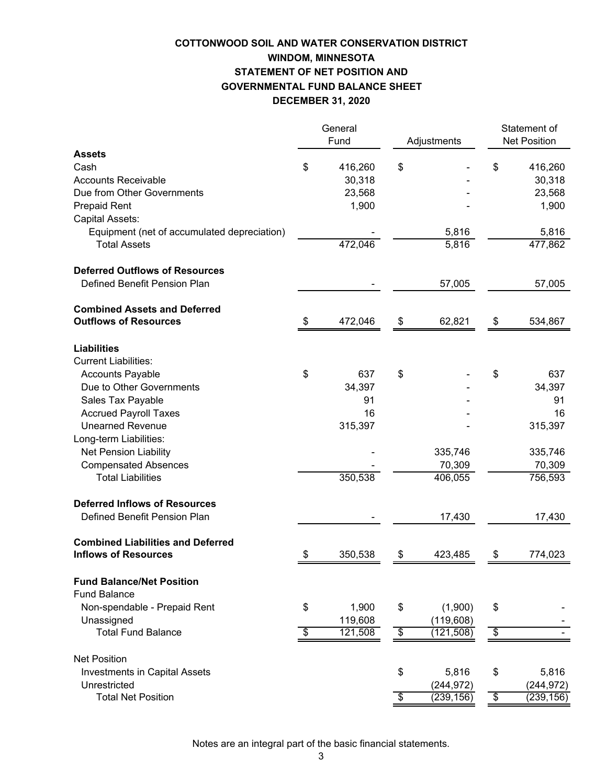# **COTTONWOOD SOIL AND WATER CONSERVATION DISTRICT WINDOM, MINNESOTA STATEMENT OF NET POSITION AND GOVERNMENTAL FUND BALANCE SHEET DECEMBER 31, 2020**

|                                                                                                                                                                                                                                                                                                                                                                                       |          | General<br>Fund                                 |                   | Adjustments                            | Statement of<br><b>Net Position</b> |                                                                                |
|---------------------------------------------------------------------------------------------------------------------------------------------------------------------------------------------------------------------------------------------------------------------------------------------------------------------------------------------------------------------------------------|----------|-------------------------------------------------|-------------------|----------------------------------------|-------------------------------------|--------------------------------------------------------------------------------|
| <b>Assets</b><br>Cash<br><b>Accounts Receivable</b><br>Due from Other Governments<br><b>Prepaid Rent</b>                                                                                                                                                                                                                                                                              | \$       | 416,260<br>30,318<br>23,568<br>1,900            | \$                |                                        | \$                                  | 416,260<br>30,318<br>23,568<br>1,900                                           |
| Capital Assets:<br>Equipment (net of accumulated depreciation)<br><b>Total Assets</b>                                                                                                                                                                                                                                                                                                 |          | 472,046                                         |                   | 5,816<br>5,816                         |                                     | 5,816<br>477,862                                                               |
| <b>Deferred Outflows of Resources</b><br>Defined Benefit Pension Plan                                                                                                                                                                                                                                                                                                                 |          |                                                 |                   | 57,005                                 |                                     | 57,005                                                                         |
| <b>Combined Assets and Deferred</b><br><b>Outflows of Resources</b>                                                                                                                                                                                                                                                                                                                   | \$       | 472,046                                         | \$                | 62,821                                 | \$                                  | 534,867                                                                        |
| <b>Liabilities</b><br><b>Current Liabilities:</b><br><b>Accounts Payable</b><br>Due to Other Governments<br>Sales Tax Payable<br><b>Accrued Payroll Taxes</b><br><b>Unearned Revenue</b><br>Long-term Liabilities:<br><b>Net Pension Liability</b><br><b>Compensated Absences</b><br><b>Total Liabilities</b><br><b>Deferred Inflows of Resources</b><br>Defined Benefit Pension Plan | \$       | 637<br>34,397<br>91<br>16<br>315,397<br>350,538 | \$                | 335,746<br>70,309<br>406,055<br>17,430 | \$                                  | 637<br>34,397<br>91<br>16<br>315,397<br>335,746<br>70,309<br>756,593<br>17,430 |
| <b>Combined Liabilities and Deferred</b><br><b>Inflows of Resources</b>                                                                                                                                                                                                                                                                                                               | \$       | 350,538                                         | \$                | 423,485                                | \$                                  | 774,023                                                                        |
| <b>Fund Balance/Net Position</b><br><b>Fund Balance</b><br>Non-spendable - Prepaid Rent<br>Unassigned<br><b>Total Fund Balance</b>                                                                                                                                                                                                                                                    | \$<br>\$ | 1,900<br>119,608<br>121,508                     | \$<br>$\clubsuit$ | (1,900)<br>(119,608)<br>(121, 508)     | \$<br>\$                            |                                                                                |
| <b>Net Position</b><br><b>Investments in Capital Assets</b><br>Unrestricted<br><b>Total Net Position</b>                                                                                                                                                                                                                                                                              |          |                                                 | \$<br>\$          | 5,816<br>(244, 972)<br>(239, 156)      | \$<br>\$                            | 5,816<br>(244, 972)<br>(239, 156)                                              |

Notes are an integral part of the basic financial statements.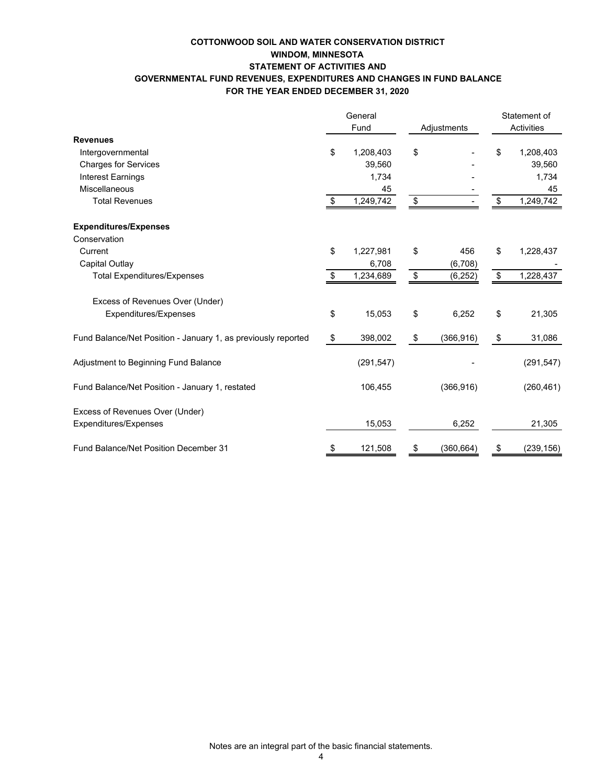#### **COTTONWOOD SOIL AND WATER CONSERVATION DISTRICT WINDOM, MINNESOTA STATEMENT OF ACTIVITIES AND GOVERNMENTAL FUND REVENUES, EXPENDITURES AND CHANGES IN FUND BALANCE FOR THE YEAR ENDED DECEMBER 31, 2020**

|                                                               | General |            |             | Statement of |            |            |
|---------------------------------------------------------------|---------|------------|-------------|--------------|------------|------------|
|                                                               |         | Fund       | Adjustments |              | Activities |            |
| <b>Revenues</b>                                               |         |            |             |              |            |            |
| Intergovernmental                                             | \$      | 1,208,403  | \$          |              | \$         | 1,208,403  |
| <b>Charges for Services</b>                                   |         | 39,560     |             |              |            | 39,560     |
| Interest Earnings                                             |         | 1,734      |             |              |            | 1,734      |
| Miscellaneous                                                 |         | 45         |             |              |            | 45         |
| <b>Total Revenues</b>                                         |         | 1,249,742  | \$          |              |            | 1,249,742  |
| <b>Expenditures/Expenses</b>                                  |         |            |             |              |            |            |
| Conservation                                                  |         |            |             |              |            |            |
| Current                                                       | \$      | 1,227,981  | \$          | 456          | \$         | 1,228,437  |
| Capital Outlay                                                |         | 6,708      |             | (6,708)      |            |            |
| <b>Total Expenditures/Expenses</b>                            | \$      | 1,234,689  | \$          | (6, 252)     | \$         | 1,228,437  |
| Excess of Revenues Over (Under)                               |         |            |             |              |            |            |
| Expenditures/Expenses                                         | \$      | 15,053     | \$          | 6,252        | \$         | 21,305     |
| Fund Balance/Net Position - January 1, as previously reported | \$      | 398,002    | \$          | (366,916)    | \$         | 31,086     |
| Adjustment to Beginning Fund Balance                          |         | (291, 547) |             |              |            | (291, 547) |
| Fund Balance/Net Position - January 1, restated               |         | 106,455    |             | (366, 916)   |            | (260, 461) |
| Excess of Revenues Over (Under)                               |         |            |             |              |            |            |
| Expenditures/Expenses                                         |         | 15,053     |             | 6,252        |            | 21,305     |
| <b>Fund Balance/Net Position December 31</b>                  | \$      | 121,508    | \$          | (360, 664)   | \$         | (239, 156) |

Notes are an integral part of the basic financial statements.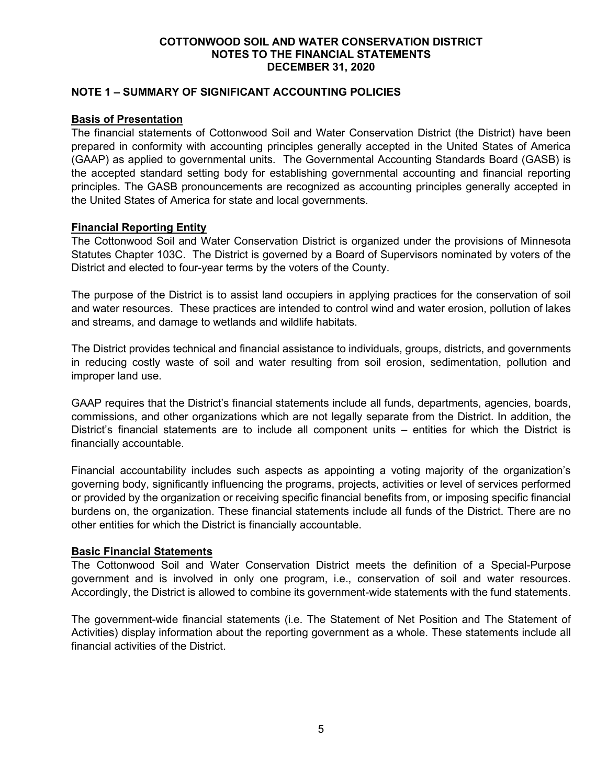## **NOTE 1 – SUMMARY OF SIGNIFICANT ACCOUNTING POLICIES**

### **Basis of Presentation**

The financial statements of Cottonwood Soil and Water Conservation District (the District) have been prepared in conformity with accounting principles generally accepted in the United States of America (GAAP) as applied to governmental units. The Governmental Accounting Standards Board (GASB) is the accepted standard setting body for establishing governmental accounting and financial reporting principles. The GASB pronouncements are recognized as accounting principles generally accepted in the United States of America for state and local governments.

### **Financial Reporting Entity**

The Cottonwood Soil and Water Conservation District is organized under the provisions of Minnesota Statutes Chapter 103C. The District is governed by a Board of Supervisors nominated by voters of the District and elected to four-year terms by the voters of the County.

The purpose of the District is to assist land occupiers in applying practices for the conservation of soil and water resources. These practices are intended to control wind and water erosion, pollution of lakes and streams, and damage to wetlands and wildlife habitats.

The District provides technical and financial assistance to individuals, groups, districts, and governments in reducing costly waste of soil and water resulting from soil erosion, sedimentation, pollution and improper land use.

GAAP requires that the District's financial statements include all funds, departments, agencies, boards, commissions, and other organizations which are not legally separate from the District. In addition, the District's financial statements are to include all component units – entities for which the District is financially accountable.

Financial accountability includes such aspects as appointing a voting majority of the organization's governing body, significantly influencing the programs, projects, activities or level of services performed or provided by the organization or receiving specific financial benefits from, or imposing specific financial burdens on, the organization. These financial statements include all funds of the District. There are no other entities for which the District is financially accountable.

### **Basic Financial Statements**

The Cottonwood Soil and Water Conservation District meets the definition of a Special-Purpose government and is involved in only one program, i.e., conservation of soil and water resources. Accordingly, the District is allowed to combine its government-wide statements with the fund statements.

The government-wide financial statements (i.e. The Statement of Net Position and The Statement of Activities) display information about the reporting government as a whole. These statements include all financial activities of the District.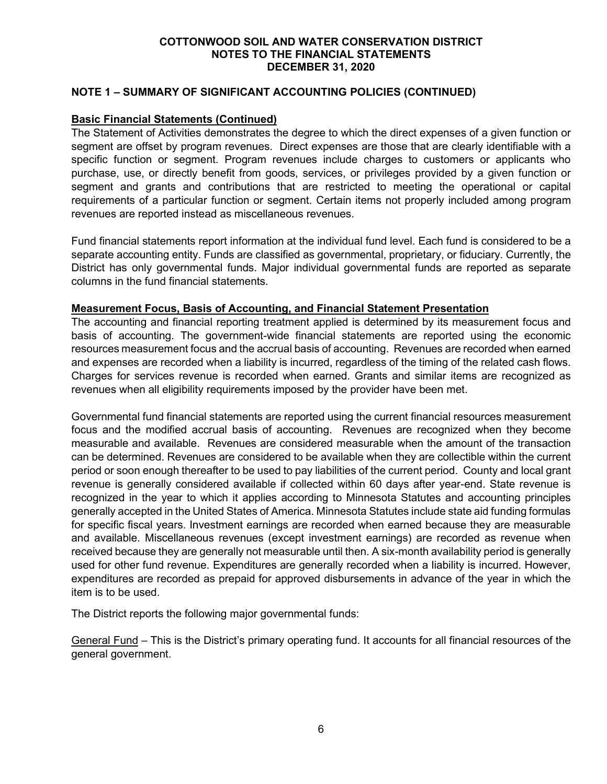### **NOTE 1 – SUMMARY OF SIGNIFICANT ACCOUNTING POLICIES (CONTINUED)**

### **Basic Financial Statements (Continued)**

The Statement of Activities demonstrates the degree to which the direct expenses of a given function or segment are offset by program revenues. Direct expenses are those that are clearly identifiable with a specific function or segment. Program revenues include charges to customers or applicants who purchase, use, or directly benefit from goods, services, or privileges provided by a given function or segment and grants and contributions that are restricted to meeting the operational or capital requirements of a particular function or segment. Certain items not properly included among program revenues are reported instead as miscellaneous revenues.

Fund financial statements report information at the individual fund level. Each fund is considered to be a separate accounting entity. Funds are classified as governmental, proprietary, or fiduciary. Currently, the District has only governmental funds. Major individual governmental funds are reported as separate columns in the fund financial statements.

### **Measurement Focus, Basis of Accounting, and Financial Statement Presentation**

The accounting and financial reporting treatment applied is determined by its measurement focus and basis of accounting. The government-wide financial statements are reported using the economic resources measurement focus and the accrual basis of accounting. Revenues are recorded when earned and expenses are recorded when a liability is incurred, regardless of the timing of the related cash flows. Charges for services revenue is recorded when earned. Grants and similar items are recognized as revenues when all eligibility requirements imposed by the provider have been met.

Governmental fund financial statements are reported using the current financial resources measurement focus and the modified accrual basis of accounting. Revenues are recognized when they become measurable and available. Revenues are considered measurable when the amount of the transaction can be determined. Revenues are considered to be available when they are collectible within the current period or soon enough thereafter to be used to pay liabilities of the current period. County and local grant revenue is generally considered available if collected within 60 days after year-end. State revenue is recognized in the year to which it applies according to Minnesota Statutes and accounting principles generally accepted in the United States of America. Minnesota Statutes include state aid funding formulas for specific fiscal years. Investment earnings are recorded when earned because they are measurable and available. Miscellaneous revenues (except investment earnings) are recorded as revenue when received because they are generally not measurable until then. A six-month availability period is generally used for other fund revenue. Expenditures are generally recorded when a liability is incurred. However, expenditures are recorded as prepaid for approved disbursements in advance of the year in which the item is to be used.

The District reports the following major governmental funds:

General Fund – This is the District's primary operating fund. It accounts for all financial resources of the general government.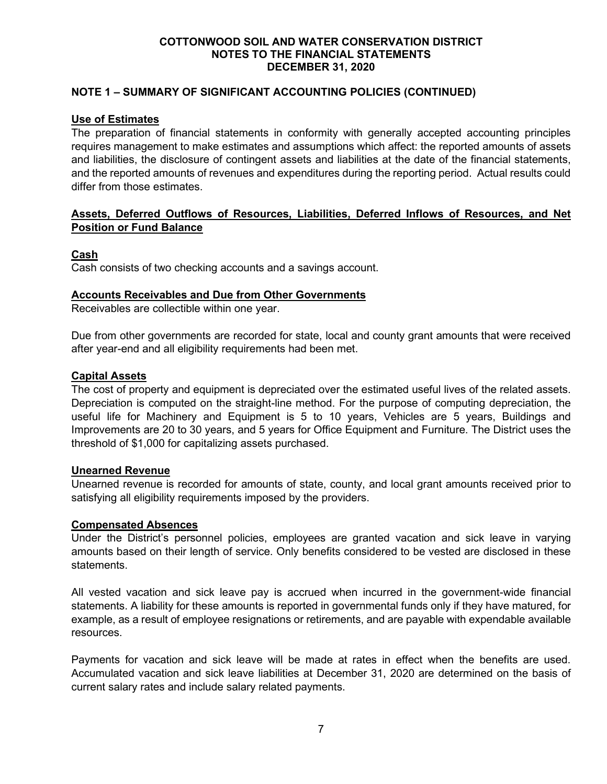### **NOTE 1 – SUMMARY OF SIGNIFICANT ACCOUNTING POLICIES (CONTINUED)**

### **Use of Estimates**

The preparation of financial statements in conformity with generally accepted accounting principles requires management to make estimates and assumptions which affect: the reported amounts of assets and liabilities, the disclosure of contingent assets and liabilities at the date of the financial statements, and the reported amounts of revenues and expenditures during the reporting period. Actual results could differ from those estimates.

## **Assets, Deferred Outflows of Resources, Liabilities, Deferred Inflows of Resources, and Net Position or Fund Balance**

#### **Cash**

Cash consists of two checking accounts and a savings account.

#### **Accounts Receivables and Due from Other Governments**

Receivables are collectible within one year.

Due from other governments are recorded for state, local and county grant amounts that were received after year-end and all eligibility requirements had been met.

#### **Capital Assets**

The cost of property and equipment is depreciated over the estimated useful lives of the related assets. Depreciation is computed on the straight-line method. For the purpose of computing depreciation, the useful life for Machinery and Equipment is 5 to 10 years, Vehicles are 5 years, Buildings and Improvements are 20 to 30 years, and 5 years for Office Equipment and Furniture. The District uses the threshold of \$1,000 for capitalizing assets purchased.

#### **Unearned Revenue**

Unearned revenue is recorded for amounts of state, county, and local grant amounts received prior to satisfying all eligibility requirements imposed by the providers.

#### **Compensated Absences**

Under the District's personnel policies, employees are granted vacation and sick leave in varying amounts based on their length of service. Only benefits considered to be vested are disclosed in these statements.

All vested vacation and sick leave pay is accrued when incurred in the government-wide financial statements. A liability for these amounts is reported in governmental funds only if they have matured, for example, as a result of employee resignations or retirements, and are payable with expendable available resources.

Payments for vacation and sick leave will be made at rates in effect when the benefits are used. Accumulated vacation and sick leave liabilities at December 31, 2020 are determined on the basis of current salary rates and include salary related payments.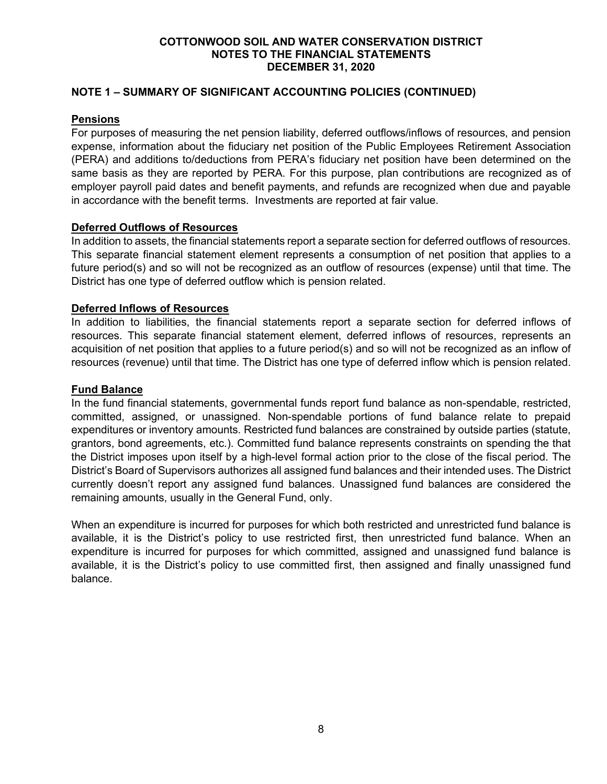### **NOTE 1 – SUMMARY OF SIGNIFICANT ACCOUNTING POLICIES (CONTINUED)**

### **Pensions**

For purposes of measuring the net pension liability, deferred outflows/inflows of resources, and pension expense, information about the fiduciary net position of the Public Employees Retirement Association (PERA) and additions to/deductions from PERA's fiduciary net position have been determined on the same basis as they are reported by PERA. For this purpose, plan contributions are recognized as of employer payroll paid dates and benefit payments, and refunds are recognized when due and payable in accordance with the benefit terms. Investments are reported at fair value.

### **Deferred Outflows of Resources**

In addition to assets, the financial statements report a separate section for deferred outflows of resources. This separate financial statement element represents a consumption of net position that applies to a future period(s) and so will not be recognized as an outflow of resources (expense) until that time. The District has one type of deferred outflow which is pension related.

#### **Deferred Inflows of Resources**

In addition to liabilities, the financial statements report a separate section for deferred inflows of resources. This separate financial statement element, deferred inflows of resources, represents an acquisition of net position that applies to a future period(s) and so will not be recognized as an inflow of resources (revenue) until that time. The District has one type of deferred inflow which is pension related.

#### **Fund Balance**

In the fund financial statements, governmental funds report fund balance as non-spendable, restricted, committed, assigned, or unassigned. Non-spendable portions of fund balance relate to prepaid expenditures or inventory amounts. Restricted fund balances are constrained by outside parties (statute, grantors, bond agreements, etc.). Committed fund balance represents constraints on spending the that the District imposes upon itself by a high-level formal action prior to the close of the fiscal period. The District's Board of Supervisors authorizes all assigned fund balances and their intended uses. The District currently doesn't report any assigned fund balances. Unassigned fund balances are considered the remaining amounts, usually in the General Fund, only.

When an expenditure is incurred for purposes for which both restricted and unrestricted fund balance is available, it is the District's policy to use restricted first, then unrestricted fund balance. When an expenditure is incurred for purposes for which committed, assigned and unassigned fund balance is available, it is the District's policy to use committed first, then assigned and finally unassigned fund balance.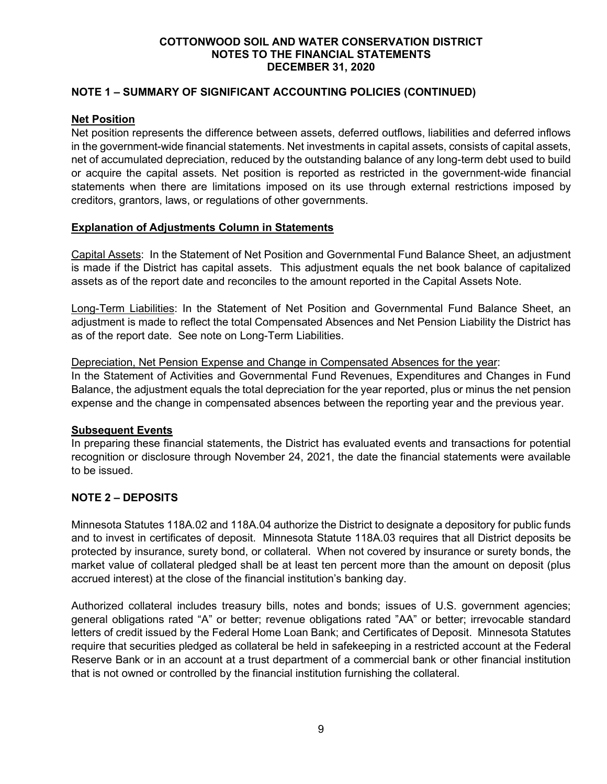### **NOTE 1 – SUMMARY OF SIGNIFICANT ACCOUNTING POLICIES (CONTINUED)**

### **Net Position**

Net position represents the difference between assets, deferred outflows, liabilities and deferred inflows in the government-wide financial statements. Net investments in capital assets, consists of capital assets, net of accumulated depreciation, reduced by the outstanding balance of any long-term debt used to build or acquire the capital assets. Net position is reported as restricted in the government-wide financial statements when there are limitations imposed on its use through external restrictions imposed by creditors, grantors, laws, or regulations of other governments.

### **Explanation of Adjustments Column in Statements**

Capital Assets: In the Statement of Net Position and Governmental Fund Balance Sheet, an adjustment is made if the District has capital assets. This adjustment equals the net book balance of capitalized assets as of the report date and reconciles to the amount reported in the Capital Assets Note.

Long-Term Liabilities: In the Statement of Net Position and Governmental Fund Balance Sheet, an adjustment is made to reflect the total Compensated Absences and Net Pension Liability the District has as of the report date. See note on Long-Term Liabilities.

### Depreciation, Net Pension Expense and Change in Compensated Absences for the year:

In the Statement of Activities and Governmental Fund Revenues, Expenditures and Changes in Fund Balance, the adjustment equals the total depreciation for the year reported, plus or minus the net pension expense and the change in compensated absences between the reporting year and the previous year.

### **Subsequent Events**

In preparing these financial statements, the District has evaluated events and transactions for potential recognition or disclosure through November 24, 2021, the date the financial statements were available to be issued.

### **NOTE 2 – DEPOSITS**

Minnesota Statutes 118A.02 and 118A.04 authorize the District to designate a depository for public funds and to invest in certificates of deposit. Minnesota Statute 118A.03 requires that all District deposits be protected by insurance, surety bond, or collateral. When not covered by insurance or surety bonds, the market value of collateral pledged shall be at least ten percent more than the amount on deposit (plus accrued interest) at the close of the financial institution's banking day.

Authorized collateral includes treasury bills, notes and bonds; issues of U.S. government agencies; general obligations rated "A" or better; revenue obligations rated "AA" or better; irrevocable standard letters of credit issued by the Federal Home Loan Bank; and Certificates of Deposit. Minnesota Statutes require that securities pledged as collateral be held in safekeeping in a restricted account at the Federal Reserve Bank or in an account at a trust department of a commercial bank or other financial institution that is not owned or controlled by the financial institution furnishing the collateral.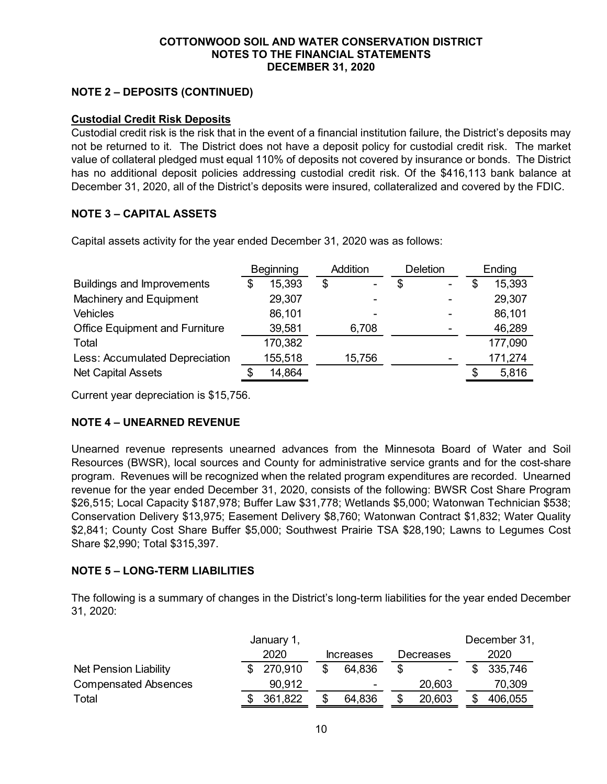# **NOTE 2 – DEPOSITS (CONTINUED)**

### **Custodial Credit Risk Deposits**

Custodial credit risk is the risk that in the event of a financial institution failure, the District's deposits may not be returned to it. The District does not have a deposit policy for custodial credit risk. The market value of collateral pledged must equal 110% of deposits not covered by insurance or bonds. The District has no additional deposit policies addressing custodial credit risk. Of the \$416,113 bank balance at December 31, 2020, all of the District's deposits were insured, collateralized and covered by the FDIC.

## **NOTE 3 – CAPITAL ASSETS**

Capital assets activity for the year ended December 31, 2020 was as follows:

|                                       | <b>Beginning</b> | Addition | <b>Deletion</b> |   | Ending  |
|---------------------------------------|------------------|----------|-----------------|---|---------|
| Buildings and Improvements            | 15,393           | \$       | \$<br>-         | S | 15,393  |
| Machinery and Equipment               | 29,307           |          | ۰               |   | 29,307  |
| <b>Vehicles</b>                       | 86,101           |          | $\blacksquare$  |   | 86,101  |
| <b>Office Equipment and Furniture</b> | 39,581           | 6,708    |                 |   | 46,289  |
| Total                                 | 170,382          |          |                 |   | 177,090 |
| Less: Accumulated Depreciation        | 155,518          | 15,756   |                 |   | 171,274 |
| <b>Net Capital Assets</b>             | 14,864           |          |                 |   | 5,816   |
|                                       |                  |          |                 |   |         |

Current year depreciation is \$15,756.

# **NOTE 4 – UNEARNED REVENUE**

Unearned revenue represents unearned advances from the Minnesota Board of Water and Soil Resources (BWSR), local sources and County for administrative service grants and for the cost-share program. Revenues will be recognized when the related program expenditures are recorded. Unearned revenue for the year ended December 31, 2020, consists of the following: BWSR Cost Share Program \$26,515; Local Capacity \$187,978; Buffer Law \$31,778; Wetlands \$5,000; Watonwan Technician \$538; Conservation Delivery \$13,975; Easement Delivery \$8,760; Watonwan Contract \$1,832; Water Quality \$2,841; County Cost Share Buffer \$5,000; Southwest Prairie TSA \$28,190; Lawns to Legumes Cost Share \$2,990; Total \$315,397.

## **NOTE 5 – LONG-TERM LIABILITIES**

The following is a summary of changes in the District's long-term liabilities for the year ended December 31, 2020:

|                              | January 1,               |  |           |        |      | December 31, |
|------------------------------|--------------------------|--|-----------|--------|------|--------------|
|                              | 2020<br><b>Increases</b> |  | Decreases |        | 2020 |              |
| <b>Net Pension Liability</b> | \$270,910                |  | 64.836    | $\sim$ | \$.  | 335,746      |
| <b>Compensated Absences</b>  | 90,912                   |  |           | 20,603 |      | 70,309       |
| Total                        | 361,822                  |  | 64,836    | 20,603 |      | 406,055      |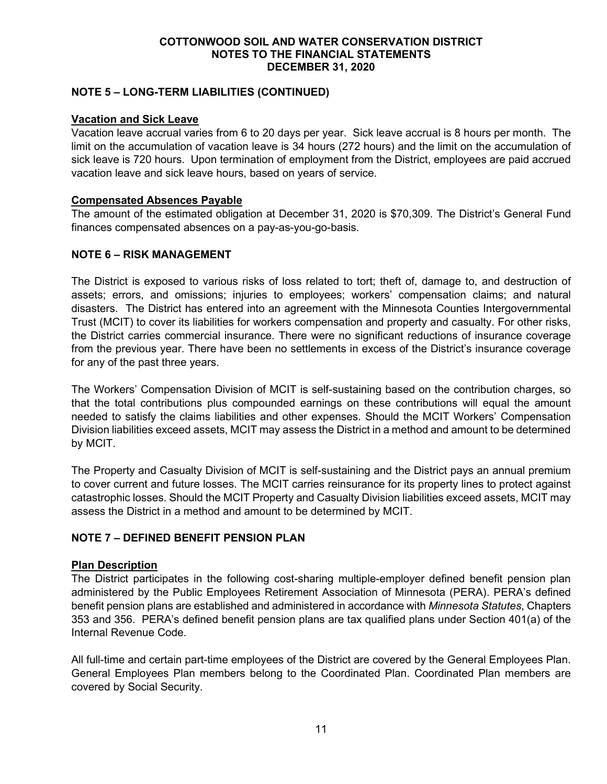## **NOTE 5 – LONG-TERM LIABILITIES (CONTINUED)**

### **Vacation and Sick Leave**

Vacation leave accrual varies from 6 to 20 days per year. Sick leave accrual is 8 hours per month. The limit on the accumulation of vacation leave is 34 hours (272 hours) and the limit on the accumulation of sick leave is 720 hours. Upon termination of employment from the District, employees are paid accrued vacation leave and sick leave hours, based on years of service.

### **Compensated Absences Payable**

The amount of the estimated obligation at December 31, 2020 is \$70,309. The District's General Fund finances compensated absences on a pay-as-you-go-basis.

### **NOTE 6 – RISK MANAGEMENT**

The District is exposed to various risks of loss related to tort; theft of, damage to, and destruction of assets; errors, and omissions; injuries to employees; workers' compensation claims; and natural disasters. The District has entered into an agreement with the Minnesota Counties Intergovernmental Trust (MCIT) to cover its liabilities for workers compensation and property and casualty. For other risks, the District carries commercial insurance. There were no significant reductions of insurance coverage from the previous year. There have been no settlements in excess of the District's insurance coverage for any of the past three years.

The Workers' Compensation Division of MCIT is self-sustaining based on the contribution charges, so that the total contributions plus compounded earnings on these contributions will equal the amount needed to satisfy the claims liabilities and other expenses. Should the MCIT Workers' Compensation Division liabilities exceed assets, MCIT may assess the District in a method and amount to be determined by MCIT.

The Property and Casualty Division of MCIT is self-sustaining and the District pays an annual premium to cover current and future losses. The MCIT carries reinsurance for its property lines to protect against catastrophic losses. Should the MCIT Property and Casualty Division liabilities exceed assets, MCIT may assess the District in a method and amount to be determined by MCIT.

## **NOTE 7 – DEFINED BENEFIT PENSION PLAN**

### **Plan Description**

The District participates in the following cost-sharing multiple-employer defined benefit pension plan administered by the Public Employees Retirement Association of Minnesota (PERA). PERA's defined benefit pension plans are established and administered in accordance with *Minnesota Statutes*, Chapters 353 and 356. PERA's defined benefit pension plans are tax qualified plans under Section 401(a) of the Internal Revenue Code.

All full-time and certain part-time employees of the District are covered by the General Employees Plan. General Employees Plan members belong to the Coordinated Plan. Coordinated Plan members are covered by Social Security.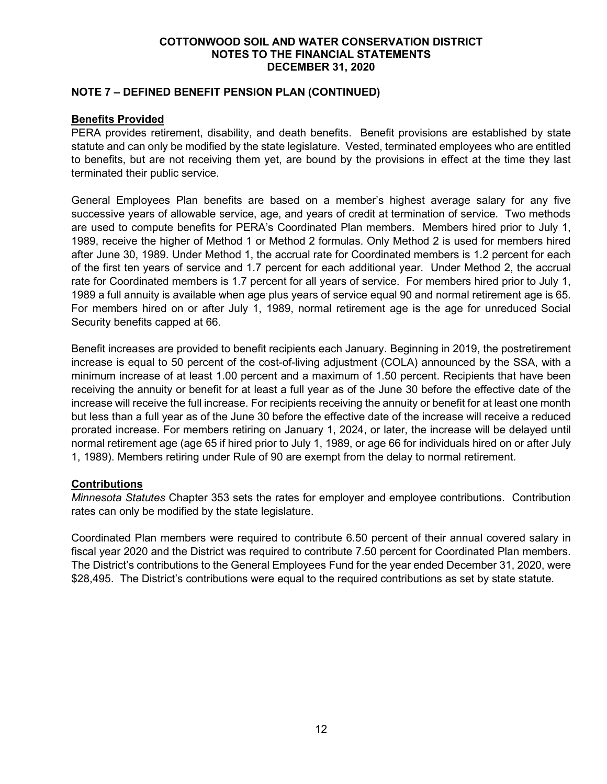## **NOTE 7 – DEFINED BENEFIT PENSION PLAN (CONTINUED)**

## **Benefits Provided**

PERA provides retirement, disability, and death benefits. Benefit provisions are established by state statute and can only be modified by the state legislature. Vested, terminated employees who are entitled to benefits, but are not receiving them yet, are bound by the provisions in effect at the time they last terminated their public service.

General Employees Plan benefits are based on a member's highest average salary for any five successive years of allowable service, age, and years of credit at termination of service. Two methods are used to compute benefits for PERA's Coordinated Plan members. Members hired prior to July 1, 1989, receive the higher of Method 1 or Method 2 formulas. Only Method 2 is used for members hired after June 30, 1989. Under Method 1, the accrual rate for Coordinated members is 1.2 percent for each of the first ten years of service and 1.7 percent for each additional year. Under Method 2, the accrual rate for Coordinated members is 1.7 percent for all years of service. For members hired prior to July 1, 1989 a full annuity is available when age plus years of service equal 90 and normal retirement age is 65. For members hired on or after July 1, 1989, normal retirement age is the age for unreduced Social Security benefits capped at 66.

Benefit increases are provided to benefit recipients each January. Beginning in 2019, the postretirement increase is equal to 50 percent of the cost-of-living adjustment (COLA) announced by the SSA, with a minimum increase of at least 1.00 percent and a maximum of 1.50 percent. Recipients that have been receiving the annuity or benefit for at least a full year as of the June 30 before the effective date of the increase will receive the full increase. For recipients receiving the annuity or benefit for at least one month but less than a full year as of the June 30 before the effective date of the increase will receive a reduced prorated increase. For members retiring on January 1, 2024, or later, the increase will be delayed until normal retirement age (age 65 if hired prior to July 1, 1989, or age 66 for individuals hired on or after July 1, 1989). Members retiring under Rule of 90 are exempt from the delay to normal retirement.

## **Contributions**

*Minnesota Statutes* Chapter 353 sets the rates for employer and employee contributions. Contribution rates can only be modified by the state legislature.

Coordinated Plan members were required to contribute 6.50 percent of their annual covered salary in fiscal year 2020 and the District was required to contribute 7.50 percent for Coordinated Plan members. The District's contributions to the General Employees Fund for the year ended December 31, 2020, were \$28,495. The District's contributions were equal to the required contributions as set by state statute.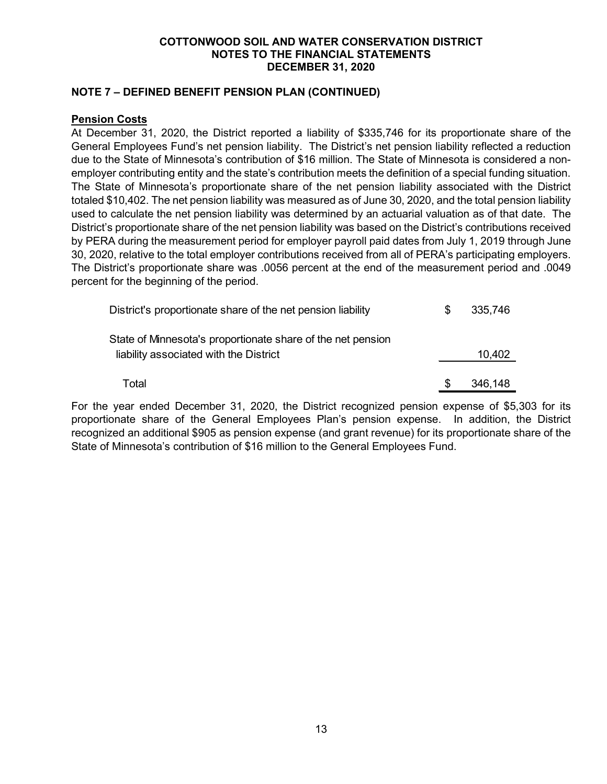## **NOTE 7 – DEFINED BENEFIT PENSION PLAN (CONTINUED)**

### **Pension Costs**

At December 31, 2020, the District reported a liability of \$335,746 for its proportionate share of the General Employees Fund's net pension liability. The District's net pension liability reflected a reduction due to the State of Minnesota's contribution of \$16 million. The State of Minnesota is considered a nonemployer contributing entity and the state's contribution meets the definition of a special funding situation. The State of Minnesota's proportionate share of the net pension liability associated with the District totaled \$10,402. The net pension liability was measured as of June 30, 2020, and the total pension liability used to calculate the net pension liability was determined by an actuarial valuation as of that date. The District's proportionate share of the net pension liability was based on the District's contributions received by PERA during the measurement period for employer payroll paid dates from July 1, 2019 through June 30, 2020, relative to the total employer contributions received from all of PERA's participating employers. The District's proportionate share was .0056 percent at the end of the measurement period and .0049 percent for the beginning of the period.

| District's proportionate share of the net pension liability | 335,746 |
|-------------------------------------------------------------|---------|
| State of Minnesota's proportionate share of the net pension |         |
| liability associated with the District                      | 10,402  |
| Total                                                       | 346,148 |

For the year ended December 31, 2020, the District recognized pension expense of \$5,303 for its proportionate share of the General Employees Plan's pension expense. In addition, the District recognized an additional \$905 as pension expense (and grant revenue) for its proportionate share of the State of Minnesota's contribution of \$16 million to the General Employees Fund.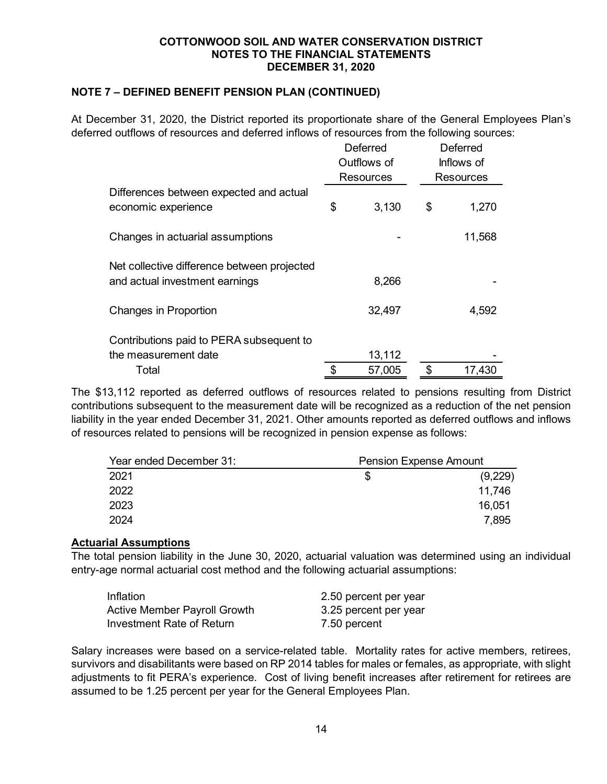## **NOTE 7 – DEFINED BENEFIT PENSION PLAN (CONTINUED)**

At December 31, 2020, the District reported its proportionate share of the General Employees Plan's deferred outflows of resources and deferred inflows of resources from the following sources:

| Deferred    |        | <b>Deferred</b>               |           |  |
|-------------|--------|-------------------------------|-----------|--|
| Outflows of |        | Inflows of                    |           |  |
|             |        |                               | Resources |  |
| \$          | 3,130  | \$                            | 1,270     |  |
|             |        |                               | 11,568    |  |
|             | 8,266  |                               |           |  |
|             | 32,497 |                               | 4,592     |  |
|             |        |                               |           |  |
|             |        |                               | 17,430    |  |
|             | \$     | Resources<br>13,112<br>57,005 | \$        |  |

The \$13,112 reported as deferred outflows of resources related to pensions resulting from District contributions subsequent to the measurement date will be recognized as a reduction of the net pension liability in the year ended December 31, 2021. Other amounts reported as deferred outflows and inflows of resources related to pensions will be recognized in pension expense as follows:

| Year ended December 31: | <b>Pension Expense Amount</b> |         |
|-------------------------|-------------------------------|---------|
| 2021                    |                               | (9,229) |
| 2022                    |                               | 11.746  |
| 2023                    |                               | 16,051  |
| 2024                    |                               | 7,895   |

## **Actuarial Assumptions**

The total pension liability in the June 30, 2020, actuarial valuation was determined using an individual entry-age normal actuarial cost method and the following actuarial assumptions:

| Inflation                    | 2.50 percent per year |
|------------------------------|-----------------------|
| Active Member Payroll Growth | 3.25 percent per year |
| Investment Rate of Return    | 7.50 percent          |

Salary increases were based on a service-related table. Mortality rates for active members, retirees, survivors and disabilitants were based on RP 2014 tables for males or females, as appropriate, with slight adjustments to fit PERA's experience. Cost of living benefit increases after retirement for retirees are assumed to be 1.25 percent per year for the General Employees Plan.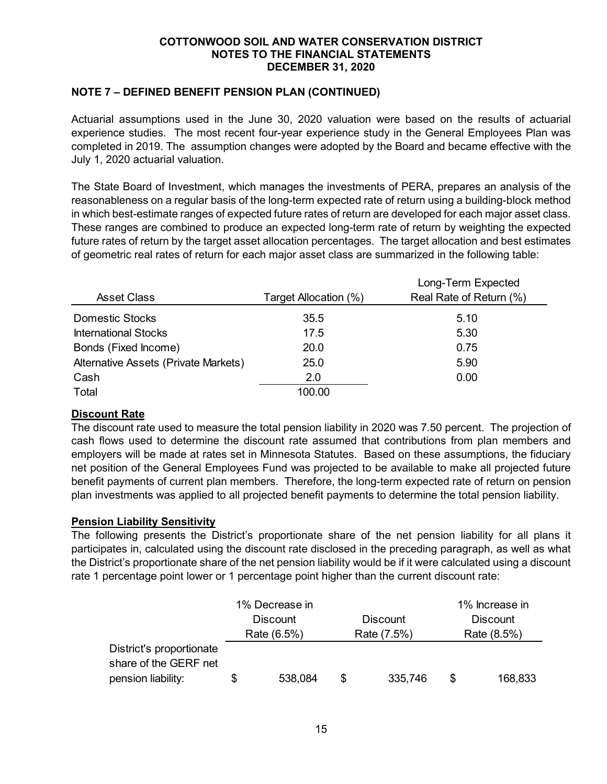## **NOTE 7 – DEFINED BENEFIT PENSION PLAN (CONTINUED)**

Actuarial assumptions used in the June 30, 2020 valuation were based on the results of actuarial experience studies. The most recent four-year experience study in the General Employees Plan was completed in 2019. The assumption changes were adopted by the Board and became effective with the July 1, 2020 actuarial valuation.

The State Board of Investment, which manages the investments of PERA, prepares an analysis of the reasonableness on a regular basis of the long-term expected rate of return using a building-block method in which best-estimate ranges of expected future rates of return are developed for each major asset class. These ranges are combined to produce an expected long-term rate of return by weighting the expected future rates of return by the target asset allocation percentages. The target allocation and best estimates of geometric real rates of return for each major asset class are summarized in the following table:

|                                      |                       | Long-Term Expected      |
|--------------------------------------|-----------------------|-------------------------|
| <b>Asset Class</b>                   | Target Allocation (%) | Real Rate of Return (%) |
| Domestic Stocks                      | 35.5                  | 5.10                    |
| <b>International Stocks</b>          | 17.5                  | 5.30                    |
| Bonds (Fixed Income)                 | 20.0                  | 0.75                    |
| Alternative Assets (Private Markets) | 25.0                  | 5.90                    |
| Cash                                 | 2.0                   | 0.00                    |
| Total                                | 100.00                |                         |

## **Discount Rate**

The discount rate used to measure the total pension liability in 2020 was 7.50 percent. The projection of cash flows used to determine the discount rate assumed that contributions from plan members and employers will be made at rates set in Minnesota Statutes. Based on these assumptions, the fiduciary net position of the General Employees Fund was projected to be available to make all projected future benefit payments of current plan members. Therefore, the long-term expected rate of return on pension plan investments was applied to all projected benefit payments to determine the total pension liability.

## **Pension Liability Sensitivity**

The following presents the District's proportionate share of the net pension liability for all plans it participates in, calculated using the discount rate disclosed in the preceding paragraph, as well as what the District's proportionate share of the net pension liability would be if it were calculated using a discount rate 1 percentage point lower or 1 percentage point higher than the current discount rate:

|                          | 1% Decrease in  |                 | 1% Increase in  |
|--------------------------|-----------------|-----------------|-----------------|
|                          | <b>Discount</b> | <b>Discount</b> | <b>Discount</b> |
|                          | Rate (6.5%)     | Rate (7.5%)     | Rate (8.5%)     |
| District's proportionate |                 |                 |                 |
| share of the GERF net    |                 |                 |                 |
| pension liability:       | 538,084         | 335,746         | 168,833         |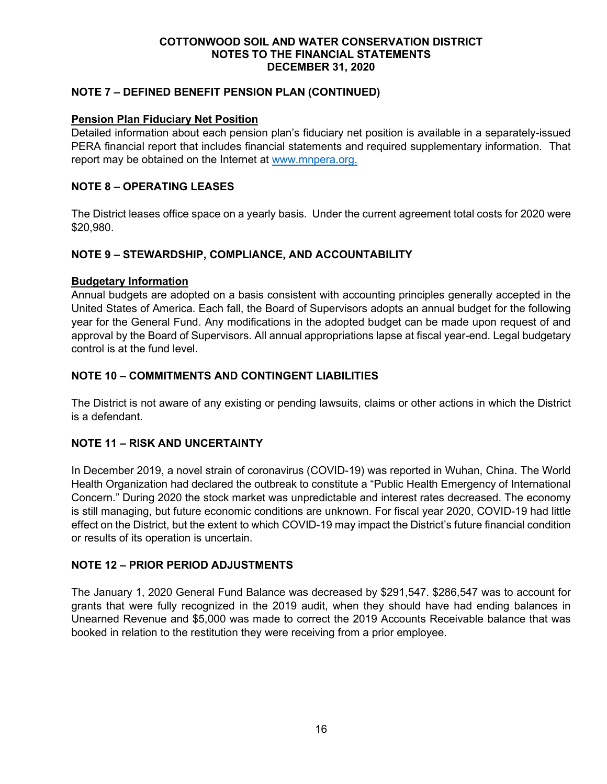## **NOTE 7 – DEFINED BENEFIT PENSION PLAN (CONTINUED)**

### **Pension Plan Fiduciary Net Position**

Detailed information about each pension plan's fiduciary net position is available in a separately-issued PERA financial report that includes financial statements and required supplementary information. That report may be obtained on the Internet at [www.mnpera.org.](http://www.mnpera.org/)

### **NOTE 8 – OPERATING LEASES**

The District leases office space on a yearly basis. Under the current agreement total costs for 2020 were \$20,980.

## **NOTE 9 – STEWARDSHIP, COMPLIANCE, AND ACCOUNTABILITY**

### **Budgetary Information**

Annual budgets are adopted on a basis consistent with accounting principles generally accepted in the United States of America. Each fall, the Board of Supervisors adopts an annual budget for the following year for the General Fund. Any modifications in the adopted budget can be made upon request of and approval by the Board of Supervisors. All annual appropriations lapse at fiscal year-end. Legal budgetary control is at the fund level.

## **NOTE 10 – COMMITMENTS AND CONTINGENT LIABILITIES**

The District is not aware of any existing or pending lawsuits, claims or other actions in which the District is a defendant.

## **NOTE 11 – RISK AND UNCERTAINTY**

In December 2019, a novel strain of coronavirus (COVID-19) was reported in Wuhan, China. The World Health Organization had declared the outbreak to constitute a "Public Health Emergency of International Concern." During 2020 the stock market was unpredictable and interest rates decreased. The economy is still managing, but future economic conditions are unknown. For fiscal year 2020, COVID-19 had little effect on the District, but the extent to which COVID-19 may impact the District's future financial condition or results of its operation is uncertain.

### **NOTE 12 – PRIOR PERIOD ADJUSTMENTS**

The January 1, 2020 General Fund Balance was decreased by \$291,547. \$286,547 was to account for grants that were fully recognized in the 2019 audit, when they should have had ending balances in Unearned Revenue and \$5,000 was made to correct the 2019 Accounts Receivable balance that was booked in relation to the restitution they were receiving from a prior employee.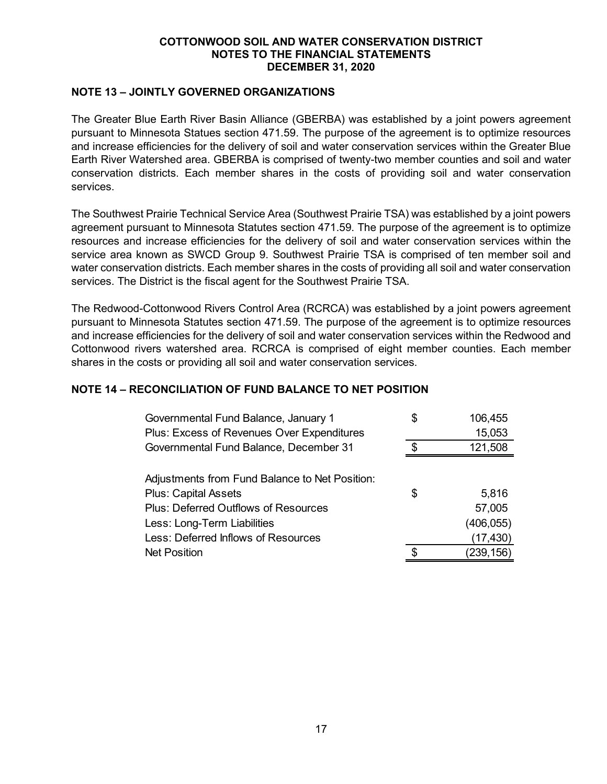## **NOTE 13 – JOINTLY GOVERNED ORGANIZATIONS**

The Greater Blue Earth River Basin Alliance (GBERBA) was established by a joint powers agreement pursuant to Minnesota Statues section 471.59. The purpose of the agreement is to optimize resources and increase efficiencies for the delivery of soil and water conservation services within the Greater Blue Earth River Watershed area. GBERBA is comprised of twenty-two member counties and soil and water conservation districts. Each member shares in the costs of providing soil and water conservation services.

The Southwest Prairie Technical Service Area (Southwest Prairie TSA) was established by a joint powers agreement pursuant to Minnesota Statutes section 471.59. The purpose of the agreement is to optimize resources and increase efficiencies for the delivery of soil and water conservation services within the service area known as SWCD Group 9. Southwest Prairie TSA is comprised of ten member soil and water conservation districts. Each member shares in the costs of providing all soil and water conservation services. The District is the fiscal agent for the Southwest Prairie TSA.

The Redwood-Cottonwood Rivers Control Area (RCRCA) was established by a joint powers agreement pursuant to Minnesota Statutes section 471.59. The purpose of the agreement is to optimize resources and increase efficiencies for the delivery of soil and water conservation services within the Redwood and Cottonwood rivers watershed area. RCRCA is comprised of eight member counties. Each member shares in the costs or providing all soil and water conservation services.

### **NOTE 14 – RECONCILIATION OF FUND BALANCE TO NET POSITION**

| Governmental Fund Balance, January 1           | \$<br>106,455   |
|------------------------------------------------|-----------------|
| Plus: Excess of Revenues Over Expenditures     | 15,053          |
| Governmental Fund Balance, December 31         | \$<br>121,508   |
|                                                |                 |
| Adjustments from Fund Balance to Net Position: |                 |
| <b>Plus: Capital Assets</b>                    | \$<br>5,816     |
| <b>Plus: Deferred Outflows of Resources</b>    | 57,005          |
| Less: Long-Term Liabilities                    | (406, 055)      |
| Less: Deferred Inflows of Resources            | (17, 430)       |
| <b>Net Position</b>                            | \$<br>(239,156) |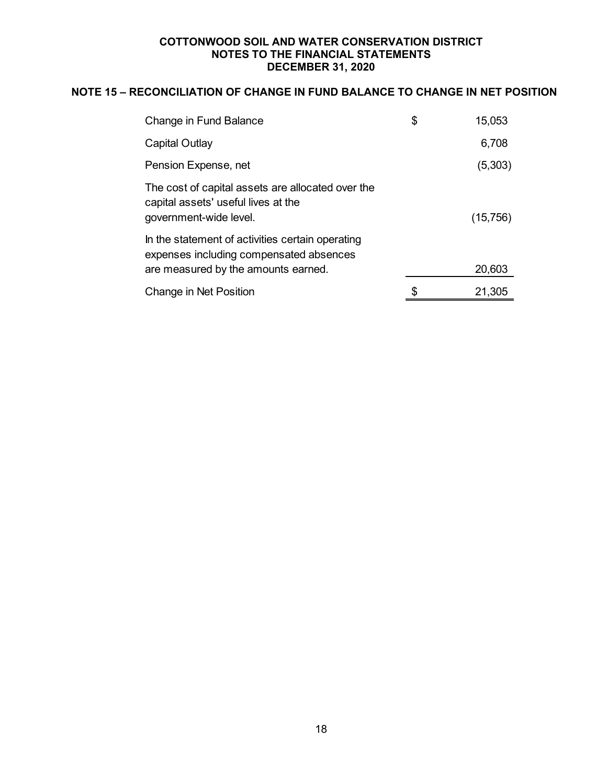# **NOTE 15 – RECONCILIATION OF CHANGE IN FUND BALANCE TO CHANGE IN NET POSITION**

| Change in Fund Balance                                                                                                             | \$<br>15,053 |
|------------------------------------------------------------------------------------------------------------------------------------|--------------|
| Capital Outlay                                                                                                                     | 6,708        |
| Pension Expense, net                                                                                                               | (5,303)      |
| The cost of capital assets are allocated over the<br>capital assets' useful lives at the<br>government-wide level.                 | (15, 756)    |
| In the statement of activities certain operating<br>expenses including compensated absences<br>are measured by the amounts earned. | 20,603       |
| Change in Net Position                                                                                                             | 21,305       |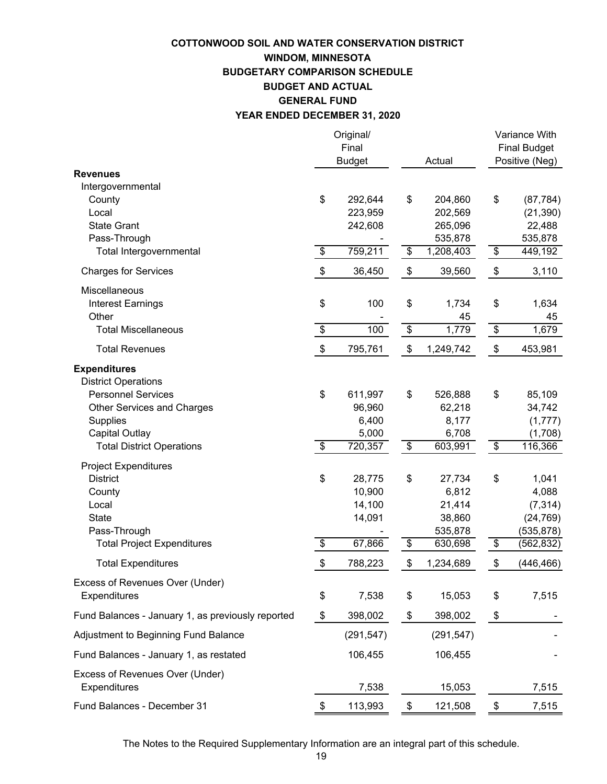# **COTTONWOOD SOIL AND WATER CONSERVATION DISTRICT WINDOM, MINNESOTA BUDGETARY COMPARISON SCHEDULE BUDGET AND ACTUAL GENERAL FUND YEAR ENDED DECEMBER 31, 2020**

|                                                   |                            | Original/<br>Final<br><b>Budget</b> | Actual                   |                         | Variance With<br><b>Final Budget</b><br>Positive (Neg) |
|---------------------------------------------------|----------------------------|-------------------------------------|--------------------------|-------------------------|--------------------------------------------------------|
| <b>Revenues</b>                                   |                            |                                     |                          |                         |                                                        |
| Intergovernmental                                 |                            |                                     |                          |                         |                                                        |
| County                                            | \$                         | 292,644                             | \$<br>204,860            | \$                      | (87, 784)                                              |
| Local                                             |                            | 223,959                             | 202,569                  |                         | (21, 390)                                              |
| <b>State Grant</b>                                |                            | 242,608                             | 265,096                  |                         | 22,488                                                 |
| Pass-Through                                      |                            |                                     | 535,878                  |                         | 535,878                                                |
| Total Intergovernmental                           | \$                         | 759,211                             | \$<br>1,208,403          | \$                      | 449,192                                                |
| <b>Charges for Services</b>                       | $\boldsymbol{\mathsf{\$}}$ | 36,450                              | \$<br>39,560             | \$                      | 3,110                                                  |
| Miscellaneous                                     |                            |                                     |                          |                         |                                                        |
| Interest Earnings                                 | \$                         | 100                                 | \$<br>1,734              | \$                      | 1,634                                                  |
| Other                                             |                            |                                     | 45                       |                         | 45                                                     |
| <b>Total Miscellaneous</b>                        | $\overline{\mathbf{e}}$    | 100                                 | \$<br>1,779              | \$                      | 1,679                                                  |
| <b>Total Revenues</b>                             | $\boldsymbol{\$}$          | 795,761                             | \$<br>1,249,742          | \$                      | 453,981                                                |
| <b>Expenditures</b>                               |                            |                                     |                          |                         |                                                        |
| <b>District Operations</b>                        |                            |                                     |                          |                         |                                                        |
| <b>Personnel Services</b>                         | \$                         | 611,997                             | \$<br>526,888            | \$                      | 85,109                                                 |
| Other Services and Charges                        |                            | 96,960                              | 62,218                   |                         | 34,742                                                 |
| <b>Supplies</b>                                   |                            | 6,400                               | 8,177                    |                         | (1, 777)                                               |
| <b>Capital Outlay</b>                             |                            | 5,000                               | 6,708                    |                         | (1,708)                                                |
| <b>Total District Operations</b>                  | $\boldsymbol{\mathsf{S}}$  | 720,357                             | \$<br>603,991            | $\overline{\mathbf{e}}$ | 116,366                                                |
| <b>Project Expenditures</b>                       |                            |                                     |                          |                         |                                                        |
| <b>District</b>                                   | \$                         | 28,775                              | \$<br>27,734             | \$                      | 1,041                                                  |
| County                                            |                            | 10,900                              | 6,812                    |                         | 4,088                                                  |
| Local                                             |                            | 14,100                              | 21,414                   |                         | (7, 314)                                               |
| <b>State</b>                                      |                            | 14,091                              | 38,860                   |                         | (24, 769)                                              |
| Pass-Through<br><b>Total Project Expenditures</b> | $\,$                       | 67,866                              | \$<br>535,878<br>630,698 | \$                      | (535, 878)<br>(562, 832)                               |
|                                                   |                            |                                     |                          |                         |                                                        |
| <b>Total Expenditures</b>                         | \$                         | 788,223                             | \$<br>1,234,689          | \$                      | (446, 466)                                             |
| Excess of Revenues Over (Under)                   |                            |                                     | 15,053                   |                         |                                                        |
| Expenditures                                      | \$                         | 7,538                               | \$                       | \$                      | 7,515                                                  |
| Fund Balances - January 1, as previously reported | \$                         | 398,002                             | \$<br>398,002            | \$                      |                                                        |
| Adjustment to Beginning Fund Balance              |                            | (291, 547)                          | (291, 547)               |                         |                                                        |
| Fund Balances - January 1, as restated            |                            | 106,455                             | 106,455                  |                         |                                                        |
| Excess of Revenues Over (Under)                   |                            |                                     |                          |                         |                                                        |
| Expenditures                                      |                            | 7,538                               | 15,053                   |                         | 7,515                                                  |
| Fund Balances - December 31                       | \$                         | 113,993                             | \$<br>121,508            | \$                      | 7,515                                                  |

The Notes to the Required Supplementary Information are an integral part of this schedule.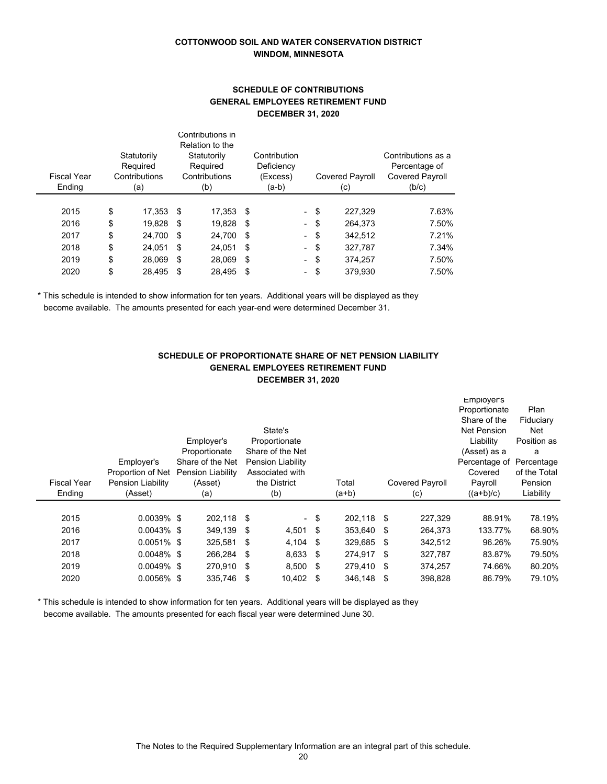#### **COTTONWOOD SOIL AND WATER CONSERVATION DISTRICT WINDOM, MINNESOTA**

#### **SCHEDULE OF CONTRIBUTIONS GENERAL EMPLOYEES RETIREMENT FUND DECEMBER 31, 2020**

|                    |               |                           | Contributions in<br>Relation to the |       |                        |        |    |                 |                        |  |
|--------------------|---------------|---------------------------|-------------------------------------|-------|------------------------|--------|----|-----------------|------------------------|--|
|                    | Statutorily   |                           | Statutorily                         |       | Contribution           |        |    |                 | Contributions as a     |  |
|                    | Required      | Required<br>Contributions |                                     |       | Deficiency<br>(Excess) |        |    |                 | Percentage of          |  |
| <b>Fiscal Year</b> | Contributions |                           |                                     |       |                        |        |    | Covered Payroll | <b>Covered Payroll</b> |  |
| Ending             | (a)           |                           | (b)                                 | (a-b) |                        |        |    | (c)             | (b/c)                  |  |
|                    |               |                           |                                     |       |                        |        |    |                 |                        |  |
| 2015               | \$<br>17,353  | - \$                      | 17,353                              | - \$  |                        | $\sim$ | \$ | 227,329         | 7.63%                  |  |
| 2016               | \$<br>19,828  | -\$                       | 19,828                              | - \$  |                        | $\sim$ | \$ | 264,373         | 7.50%                  |  |
| 2017               | \$<br>24.700  | \$                        | 24.700                              | -\$   |                        | $\sim$ | \$ | 342.512         | 7.21%                  |  |
| 2018               | \$<br>24.051  | \$                        | 24.051                              | \$    |                        | $\sim$ | \$ | 327,787         | 7.34%                  |  |
| 2019               | \$<br>28.069  | \$                        | 28.069                              | \$    |                        | $\sim$ | \$ | 374.257         | 7.50%                  |  |
| 2020               | \$<br>28.495  | \$                        | 28.495                              | \$    |                        | $\sim$ | \$ | 379.930         | 7.50%                  |  |
|                    |               |                           |                                     |       |                        |        |    |                 |                        |  |

\* This schedule is intended to show information for ten years. Additional years will be displayed as they become available. The amounts presented for each year-end were determined December 31.

#### **SCHEDULE OF PROPORTIONATE SHARE OF NET PENSION LIABILITY GENERAL EMPLOYEES RETIREMENT FUND DECEMBER 31, 2020**

|                    |                   |                          |      |                   |      |            |     |                        | Employer's         |              |
|--------------------|-------------------|--------------------------|------|-------------------|------|------------|-----|------------------------|--------------------|--------------|
|                    |                   |                          |      |                   |      |            |     |                        | Proportionate      | Plan         |
|                    |                   |                          |      |                   |      |            |     |                        | Share of the       | Fiduciary    |
|                    |                   |                          |      | State's           |      |            |     |                        | <b>Net Pension</b> | Net          |
|                    |                   | Employer's               |      | Proportionate     |      |            |     |                        | Liability          | Position as  |
|                    |                   | Proportionate            |      | Share of the Net  |      |            |     |                        | (Asset) as a       | a            |
|                    | Employer's        | Share of the Net         |      | Pension Liability |      |            |     |                        | Percentage of      | Percentage   |
|                    | Proportion of Net | <b>Pension Liability</b> |      | Associated with   |      |            |     |                        | Covered            | of the Total |
| <b>Fiscal Year</b> | Pension Liability | (Asset)                  |      | the District      |      | Total      |     | <b>Covered Payroll</b> | Payroll            | Pension      |
|                    |                   |                          |      |                   |      |            |     |                        |                    |              |
| Ending             | (Asset)           | (a)                      |      | (b)               |      | $(a+b)$    |     | (c)                    | $((a+b)/c)$        | Liability    |
|                    |                   |                          |      |                   |      |            |     |                        |                    |              |
| 2015               | $0.0039\%$ \$     | 202,118 \$               |      |                   | - \$ | 202.118 \$ |     | 227,329                | 88.91%             | 78.19%       |
| 2016               | $0.0043\%$ \$     | 349,139                  | - \$ | 4,501 \$          |      | 353,640 \$ |     | 264,373                | 133.77%            | 68.90%       |
| 2017               | $0.0051\%$ \$     | 325.581                  | - \$ | 4,104             | -\$  | 329,685 \$ |     | 342,512                | 96.26%             | 75.90%       |
| 2018               | $0.0048\%$ \$     | 266,284                  | \$   | 8,633 \$          |      | 274,917    | -\$ | 327,787                | 83.87%             | 79.50%       |
| 2019               | $0.0049\%$ \$     | 270.910                  | \$   | 8,500             | -\$  | 279,410    | \$  | 374,257                | 74.66%             | 80.20%       |

\* This schedule is intended to show information for ten years. Additional years will be displayed as they become available. The amounts presented for each fiscal year were determined June 30.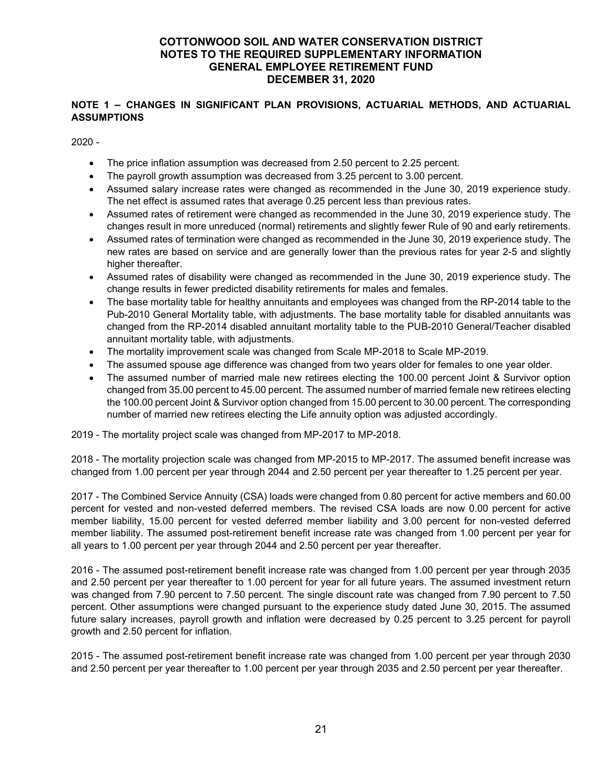### **COTTONWOOD SOIL AND WATER CONSERVATION DISTRICT NOTES TO THE REQUIRED SUPPLEMENTARY INFORMATION GENERAL EMPLOYEE RETIREMENT FUND DECEMBER 31, 2020**

### **NOTE 1 – CHANGES IN SIGNIFICANT PLAN PROVISIONS, ACTUARIAL METHODS, AND ACTUARIAL ASSUMPTIONS**

2020 -

- The price inflation assumption was decreased from 2.50 percent to 2.25 percent.
- The payroll growth assumption was decreased from 3.25 percent to 3.00 percent.
- Assumed salary increase rates were changed as recommended in the June 30, 2019 experience study. The net effect is assumed rates that average 0.25 percent less than previous rates.
- Assumed rates of retirement were changed as recommended in the June 30, 2019 experience study. The changes result in more unreduced (normal) retirements and slightly fewer Rule of 90 and early retirements.
- Assumed rates of termination were changed as recommended in the June 30, 2019 experience study. The new rates are based on service and are generally lower than the previous rates for year 2-5 and slightly higher thereafter.
- Assumed rates of disability were changed as recommended in the June 30, 2019 experience study. The change results in fewer predicted disability retirements for males and females.
- The base mortality table for healthy annuitants and employees was changed from the RP-2014 table to the Pub-2010 General Mortality table, with adjustments. The base mortality table for disabled annuitants was changed from the RP-2014 disabled annuitant mortality table to the PUB-2010 General/Teacher disabled annuitant mortality table, with adjustments.
- The mortality improvement scale was changed from Scale MP-2018 to Scale MP-2019.
- The assumed spouse age difference was changed from two years older for females to one year older.
- The assumed number of married male new retirees electing the 100.00 percent Joint & Survivor option changed from 35.00 percent to 45.00 percent. The assumed number of married female new retirees electing the 100.00 percent Joint & Survivor option changed from 15.00 percent to 30.00 percent. The corresponding number of married new retirees electing the Life annuity option was adjusted accordingly.

2019 - The mortality project scale was changed from MP-2017 to MP-2018.

2018 - The mortality projection scale was changed from MP-2015 to MP-2017. The assumed benefit increase was changed from 1.00 percent per year through 2044 and 2.50 percent per year thereafter to 1.25 percent per year.

2017 - The Combined Service Annuity (CSA) loads were changed from 0.80 percent for active members and 60.00 percent for vested and non-vested deferred members. The revised CSA loads are now 0.00 percent for active member liability, 15.00 percent for vested deferred member liability and 3.00 percent for non-vested deferred member liability. The assumed post-retirement benefit increase rate was changed from 1.00 percent per year for all years to 1.00 percent per year through 2044 and 2.50 percent per year thereafter.

2016 - The assumed post-retirement benefit increase rate was changed from 1.00 percent per year through 2035 and 2.50 percent per year thereafter to 1.00 percent for year for all future years. The assumed investment return was changed from 7.90 percent to 7.50 percent. The single discount rate was changed from 7.90 percent to 7.50 percent. Other assumptions were changed pursuant to the experience study dated June 30, 2015. The assumed future salary increases, payroll growth and inflation were decreased by 0.25 percent to 3.25 percent for payroll growth and 2.50 percent for inflation.

2015 - The assumed post-retirement benefit increase rate was changed from 1.00 percent per year through 2030 and 2.50 percent per year thereafter to 1.00 percent per year through 2035 and 2.50 percent per year thereafter.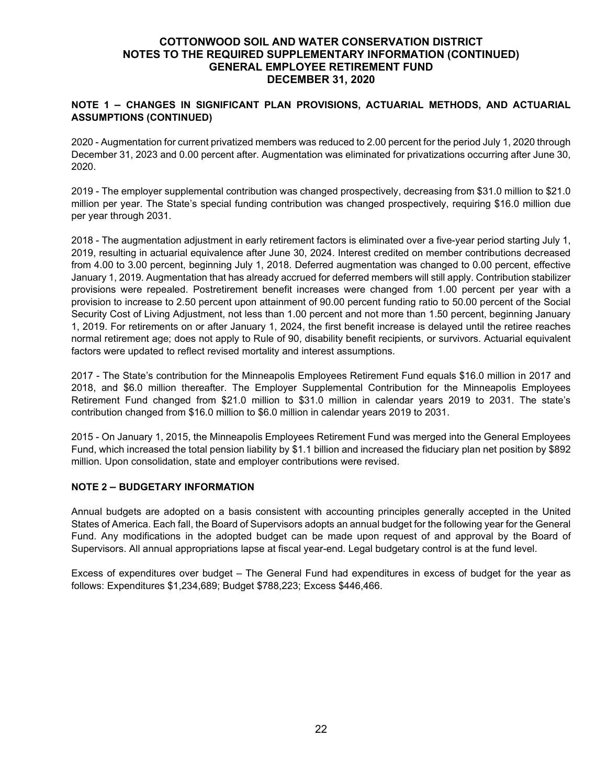### **COTTONWOOD SOIL AND WATER CONSERVATION DISTRICT NOTES TO THE REQUIRED SUPPLEMENTARY INFORMATION (CONTINUED) GENERAL EMPLOYEE RETIREMENT FUND DECEMBER 31, 2020**

### **NOTE 1 – CHANGES IN SIGNIFICANT PLAN PROVISIONS, ACTUARIAL METHODS, AND ACTUARIAL ASSUMPTIONS (CONTINUED)**

2020 - Augmentation for current privatized members was reduced to 2.00 percent for the period July 1, 2020 through December 31, 2023 and 0.00 percent after. Augmentation was eliminated for privatizations occurring after June 30, 2020.

2019 - The employer supplemental contribution was changed prospectively, decreasing from \$31.0 million to \$21.0 million per year. The State's special funding contribution was changed prospectively, requiring \$16.0 million due per year through 2031.

2018 - The augmentation adjustment in early retirement factors is eliminated over a five-year period starting July 1, 2019, resulting in actuarial equivalence after June 30, 2024. Interest credited on member contributions decreased from 4.00 to 3.00 percent, beginning July 1, 2018. Deferred augmentation was changed to 0.00 percent, effective January 1, 2019. Augmentation that has already accrued for deferred members will still apply. Contribution stabilizer provisions were repealed. Postretirement benefit increases were changed from 1.00 percent per year with a provision to increase to 2.50 percent upon attainment of 90.00 percent funding ratio to 50.00 percent of the Social Security Cost of Living Adjustment, not less than 1.00 percent and not more than 1.50 percent, beginning January 1, 2019. For retirements on or after January 1, 2024, the first benefit increase is delayed until the retiree reaches normal retirement age; does not apply to Rule of 90, disability benefit recipients, or survivors. Actuarial equivalent factors were updated to reflect revised mortality and interest assumptions.

2017 - The State's contribution for the Minneapolis Employees Retirement Fund equals \$16.0 million in 2017 and 2018, and \$6.0 million thereafter. The Employer Supplemental Contribution for the Minneapolis Employees Retirement Fund changed from \$21.0 million to \$31.0 million in calendar years 2019 to 2031. The state's contribution changed from \$16.0 million to \$6.0 million in calendar years 2019 to 2031.

2015 - On January 1, 2015, the Minneapolis Employees Retirement Fund was merged into the General Employees Fund, which increased the total pension liability by \$1.1 billion and increased the fiduciary plan net position by \$892 million. Upon consolidation, state and employer contributions were revised.

### **NOTE 2 – BUDGETARY INFORMATION**

Annual budgets are adopted on a basis consistent with accounting principles generally accepted in the United States of America. Each fall, the Board of Supervisors adopts an annual budget for the following year for the General Fund. Any modifications in the adopted budget can be made upon request of and approval by the Board of Supervisors. All annual appropriations lapse at fiscal year-end. Legal budgetary control is at the fund level.

Excess of expenditures over budget – The General Fund had expenditures in excess of budget for the year as follows: Expenditures \$1,234,689; Budget \$788,223; Excess \$446,466.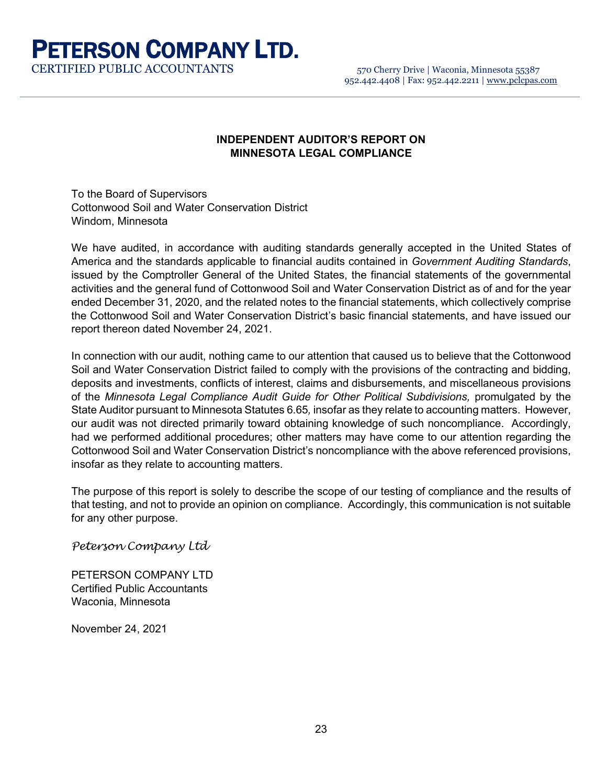**PETERSON COMPANY LTD.**<br>CERTIFIED PUBLIC ACCOUNTANTS 570 Cherry Drive | Waconia, Minnesota 55387

# **INDEPENDENT AUDITOR'S REPORT ON MINNESOTA LEGAL COMPLIANCE**

To the Board of Supervisors Cottonwood Soil and Water Conservation District Windom, Minnesota

We have audited, in accordance with auditing standards generally accepted in the United States of America and the standards applicable to financial audits contained in *Government Auditing Standards*, issued by the Comptroller General of the United States, the financial statements of the governmental activities and the general fund of Cottonwood Soil and Water Conservation District as of and for the year ended December 31, 2020, and the related notes to the financial statements, which collectively comprise the Cottonwood Soil and Water Conservation District's basic financial statements, and have issued our report thereon dated November 24, 2021.

In connection with our audit, nothing came to our attention that caused us to believe that the Cottonwood Soil and Water Conservation District failed to comply with the provisions of the contracting and bidding, deposits and investments, conflicts of interest, claims and disbursements, and miscellaneous provisions of the *Minnesota Legal Compliance Audit Guide for Other Political Subdivisions,* promulgated by the State Auditor pursuant to Minnesota Statutes 6.65*,* insofar as they relate to accounting matters. However, our audit was not directed primarily toward obtaining knowledge of such noncompliance. Accordingly, had we performed additional procedures; other matters may have come to our attention regarding the Cottonwood Soil and Water Conservation District's noncompliance with the above referenced provisions, insofar as they relate to accounting matters.

The purpose of this report is solely to describe the scope of our testing of compliance and the results of that testing, and not to provide an opinion on compliance. Accordingly, this communication is not suitable for any other purpose.

*Peterson Company Ltd*

PETERSON COMPANY LTD Certified Public Accountants Waconia, Minnesota

November 24, 2021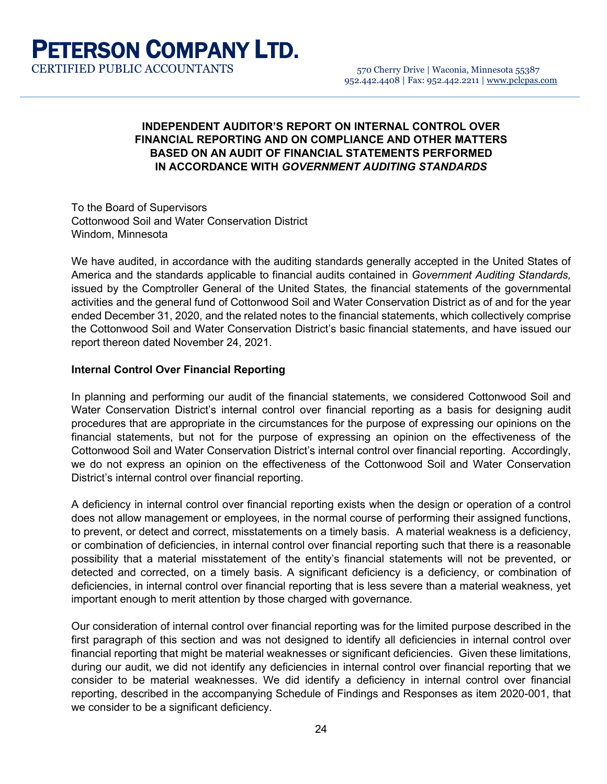# **INDEPENDENT AUDITOR'S REPORT ON INTERNAL CONTROL OVER FINANCIAL REPORTING AND ON COMPLIANCE AND OTHER MATTERS BASED ON AN AUDIT OF FINANCIAL STATEMENTS PERFORMED IN ACCORDANCE WITH** *GOVERNMENT AUDITING STANDARDS*

To the Board of Supervisors Cottonwood Soil and Water Conservation District Windom, Minnesota

We have audited, in accordance with the auditing standards generally accepted in the United States of America and the standards applicable to financial audits contained in *Government Auditing Standards,* issued by the Comptroller General of the United States*,* the financial statements of the governmental activities and the general fund of Cottonwood Soil and Water Conservation District as of and for the year ended December 31, 2020, and the related notes to the financial statements, which collectively comprise the Cottonwood Soil and Water Conservation District's basic financial statements, and have issued our report thereon dated November 24, 2021.

## **Internal Control Over Financial Reporting**

In planning and performing our audit of the financial statements, we considered Cottonwood Soil and Water Conservation District's internal control over financial reporting as a basis for designing audit procedures that are appropriate in the circumstances for the purpose of expressing our opinions on the financial statements, but not for the purpose of expressing an opinion on the effectiveness of the Cottonwood Soil and Water Conservation District's internal control over financial reporting. Accordingly, we do not express an opinion on the effectiveness of the Cottonwood Soil and Water Conservation District's internal control over financial reporting.

A deficiency in internal control over financial reporting exists when the design or operation of a control does not allow management or employees, in the normal course of performing their assigned functions, to prevent, or detect and correct, misstatements on a timely basis. A material weakness is a deficiency, or combination of deficiencies, in internal control over financial reporting such that there is a reasonable possibility that a material misstatement of the entity's financial statements will not be prevented, or detected and corrected, on a timely basis. A significant deficiency is a deficiency, or combination of deficiencies, in internal control over financial reporting that is less severe than a material weakness, yet important enough to merit attention by those charged with governance.

Our consideration of internal control over financial reporting was for the limited purpose described in the first paragraph of this section and was not designed to identify all deficiencies in internal control over financial reporting that might be material weaknesses or significant deficiencies. Given these limitations, during our audit, we did not identify any deficiencies in internal control over financial reporting that we consider to be material weaknesses. We did identify a deficiency in internal control over financial reporting, described in the accompanying Schedule of Findings and Responses as item 2020-001, that we consider to be a significant deficiency.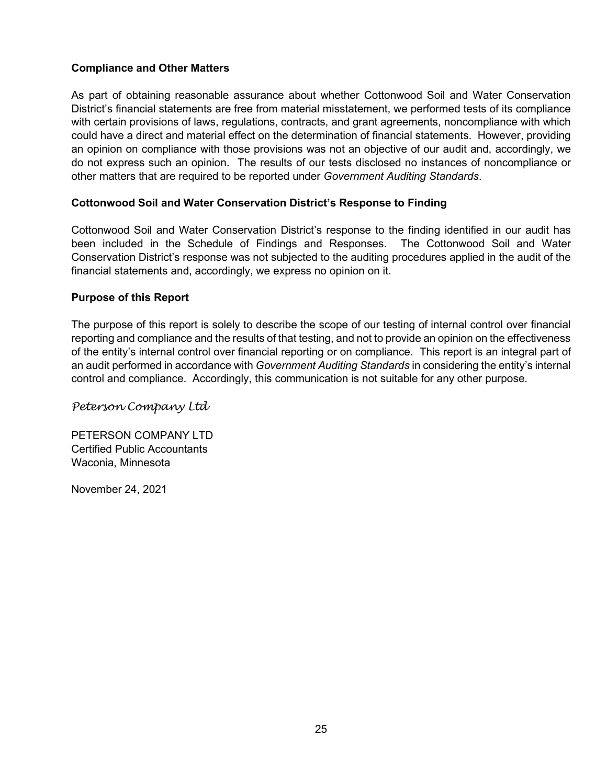## **Compliance and Other Matters**

As part of obtaining reasonable assurance about whether Cottonwood Soil and Water Conservation District's financial statements are free from material misstatement, we performed tests of its compliance with certain provisions of laws, regulations, contracts, and grant agreements, noncompliance with which could have a direct and material effect on the determination of financial statements. However, providing an opinion on compliance with those provisions was not an objective of our audit and, accordingly, we do not express such an opinion. The results of our tests disclosed no instances of noncompliance or other matters that are required to be reported under *Government Auditing Standards*.

## **Cottonwood Soil and Water Conservation District's Response to Finding**

Cottonwood Soil and Water Conservation District's response to the finding identified in our audit has been included in the Schedule of Findings and Responses. The Cottonwood Soil and Water Conservation District's response was not subjected to the auditing procedures applied in the audit of the financial statements and, accordingly, we express no opinion on it.

## **Purpose of this Report**

The purpose of this report is solely to describe the scope of our testing of internal control over financial reporting and compliance and the results of that testing, and not to provide an opinion on the effectiveness of the entity's internal control over financial reporting or on compliance. This report is an integral part of an audit performed in accordance with *Government Auditing Standards* in considering the entity's internal control and compliance. Accordingly, this communication is not suitable for any other purpose.

*Peterson Company Ltd*

PETERSON COMPANY LTD Certified Public Accountants Waconia, Minnesota

November 24, 2021